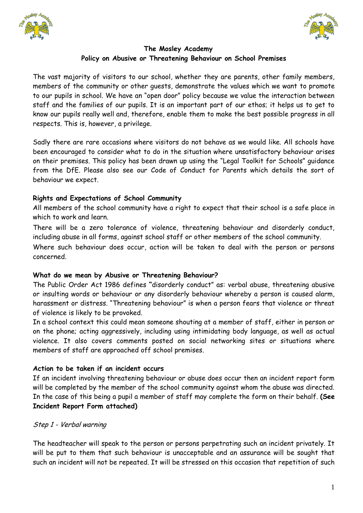



# **The Mosley Academy Policy on Abusive or Threatening Behaviour on School Premises**

The vast majority of visitors to our school, whether they are parents, other family members, members of the community or other guests, demonstrate the values which we want to promote to our pupils in school. We have an "open door" policy because we value the interaction between staff and the families of our pupils. It is an important part of our ethos; it helps us to get to know our pupils really well and, therefore, enable them to make the best possible progress in all respects. This is, however, a privilege.

Sadly there are rare occasions where visitors do not behave as we would like. All schools have been encouraged to consider what to do in the situation where unsatisfactory behaviour arises on their premises. This policy has been drawn up using the "Legal Toolkit for Schools" guidance from the DfE. Please also see our Code of Conduct for Parents which details the sort of behaviour we expect.

## **Rights and Expectations of School Community**

All members of the school community have a right to expect that their school is a safe place in which to work and learn.

There will be a zero tolerance of violence, threatening behaviour and disorderly conduct, including abuse in all forms, against school staff or other members of the school community.

Where such behaviour does occur, action will be taken to deal with the person or persons concerned.

### **What do we mean by Abusive or Threatening Behaviour?**

The Public Order Act 1986 defines **"**disorderly conduct" as: verbal abuse, threatening abusive or insulting words or behaviour or any disorderly behaviour whereby a person is caused alarm, harassment or distress. "Threatening behaviour" is when a person fears that violence or threat of violence is likely to be provoked.

In a school context this could mean someone shouting at a member of staff, either in person or on the phone; acting aggressively, including using intimidating body language, as well as actual violence. It also covers comments posted on social networking sites or situations where members of staff are approached off school premises.

### **Action to be taken if an incident occurs**

If an incident involving threatening behaviour or abuse does occur then an incident report form will be completed by the member of the school community against whom the abuse was directed. In the case of this being a pupil a member of staff may complete the form on their behalf. **(See Incident Report Form attached)** 

## Step 1 - Verbal warning

The headteacher will speak to the person or persons perpetrating such an incident privately. It will be put to them that such behaviour is unacceptable and an assurance will be sought that such an incident will not be repeated. It will be stressed on this occasion that repetition of such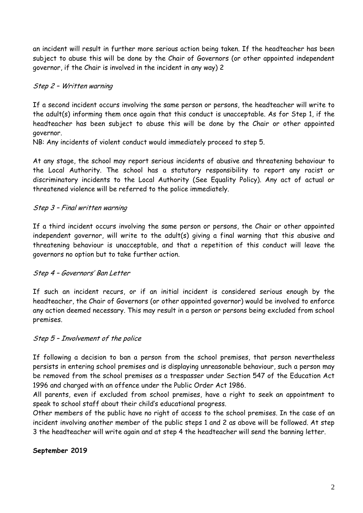an incident will result in further more serious action being taken. If the headteacher has been subject to abuse this will be done by the Chair of Governors (or other appointed independent governor, if the Chair is involved in the incident in any way) 2

## Step 2 – Written warning

If a second incident occurs involving the same person or persons, the headteacher will write to the adult(s) informing them once again that this conduct is unacceptable. As for Step 1, if the headteacher has been subject to abuse this will be done by the Chair or other appointed governor.

NB: Any incidents of violent conduct would immediately proceed to step 5.

At any stage, the school may report serious incidents of abusive and threatening behaviour to the Local Authority. The school has a statutory responsibility to report any racist or discriminatory incidents to the Local Authority (See Equality Policy). Any act of actual or threatened violence will be referred to the police immediately.

## Step 3 – Final written warning

If a third incident occurs involving the same person or persons, the Chair or other appointed independent governor, will write to the adult(s) giving a final warning that this abusive and threatening behaviour is unacceptable, and that a repetition of this conduct will leave the governors no option but to take further action.

### Step 4 – Governors' Ban Letter

If such an incident recurs, or if an initial incident is considered serious enough by the headteacher, the Chair of Governors (or other appointed governor) would be involved to enforce any action deemed necessary. This may result in a person or persons being excluded from school premises.

### Step 5 – Involvement of the police

If following a decision to ban a person from the school premises, that person nevertheless persists in entering school premises and is displaying unreasonable behaviour, such a person may be removed from the school premises as a trespasser under Section 547 of the Education Act 1996 and charged with an offence under the Public Order Act 1986.

All parents, even if excluded from school premises, have a right to seek an appointment to speak to school staff about their child's educational progress.

Other members of the public have no right of access to the school premises. In the case of an incident involving another member of the public steps 1 and 2 as above will be followed. At step 3 the headteacher will write again and at step 4 the headteacher will send the banning letter.

### **September 2019**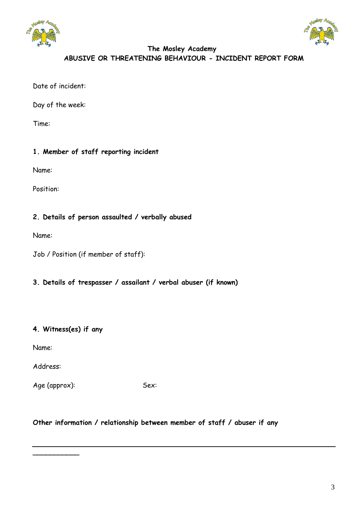



# **The Mosley Academy ABUSIVE OR THREATENING BEHAVIOUR - INCIDENT REPORT FORM**

Date of incident:

Day of the week:

Time:

# **1. Member of staff reporting incident**

Name:

Position:

## **2. Details of person assaulted / verbally abused**

Name:

Job / Position (if member of staff):

## **3. Details of trespasser / assailant / verbal abuser (if known)**

## **4. Witness(es) if any**

Name:

Address:

**\_\_\_\_\_\_\_\_\_\_\_** 

Age (approx): Sex:

### **Other information / relationship between member of staff / abuser if any**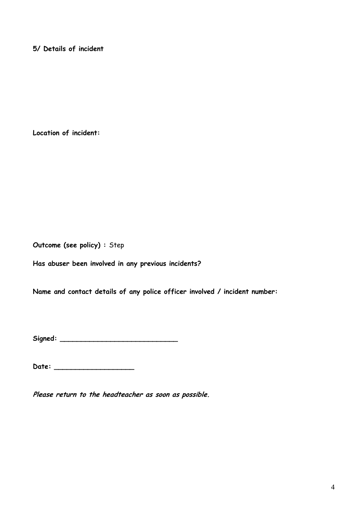**5/ Details of incident** 

**Location of incident:** 

**Outcome (see policy) :** Step

**Has abuser been involved in any previous incidents?**

**Name and contact details of any police officer involved / incident number:** 

**Signed: \_\_\_\_\_\_\_\_\_\_\_\_\_\_\_\_\_\_\_\_\_\_\_\_\_\_\_\_** 

**Date: \_\_\_\_\_\_\_\_\_\_\_\_\_\_\_\_\_\_\_** 

**Please return to the headteacher as soon as possible.**